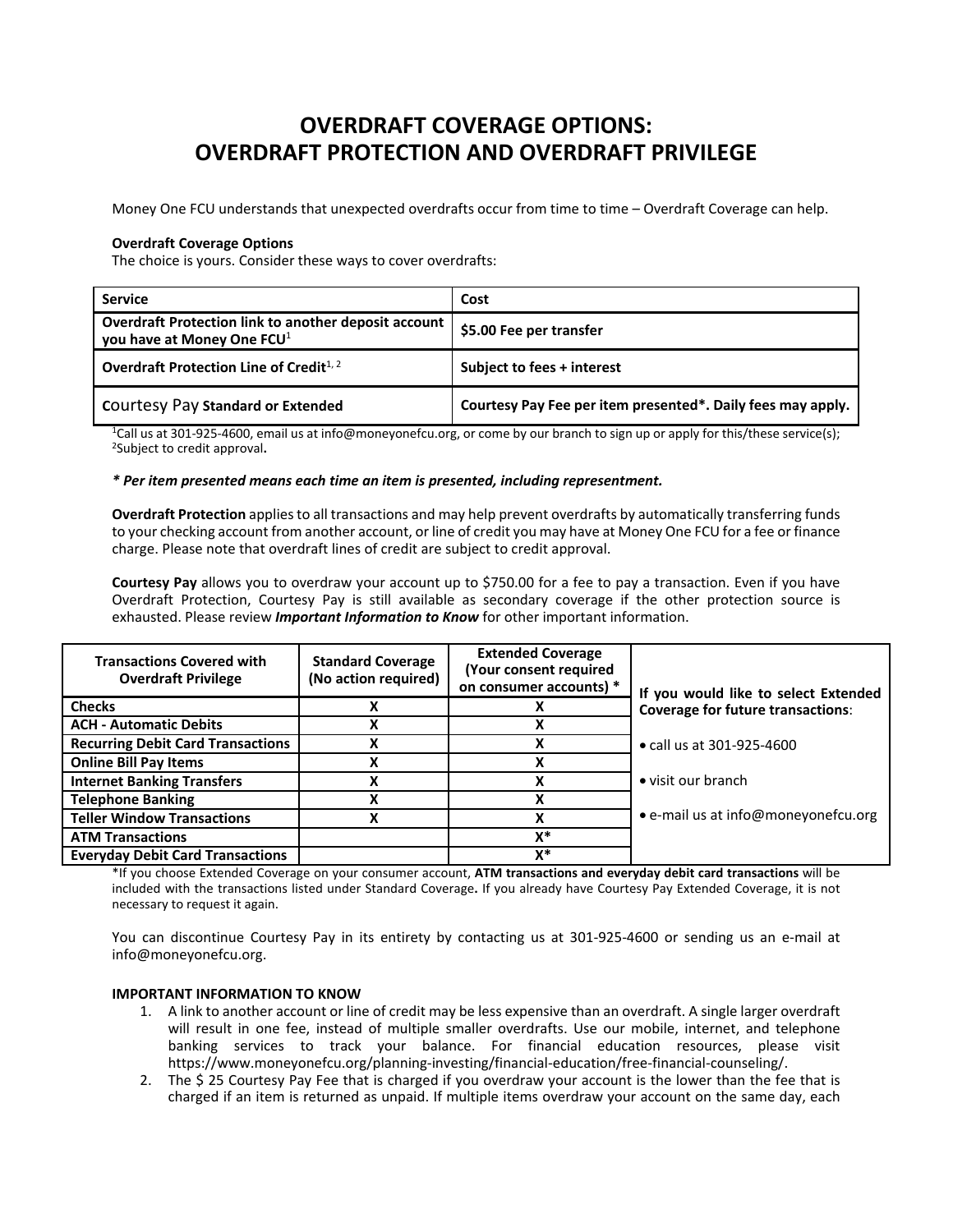# **OVERDRAFT COVERAGE OPTIONS: OVERDRAFT PROTECTION AND OVERDRAFT PRIVILEGE**

Money One FCU understands that unexpected overdrafts occur from time to time – Overdraft Coverage can help.

### **Overdraft Coverage Options**

The choice is yours. Consider these ways to cover overdrafts:

| <b>Service</b>                                                                                 | Cost                                                        |
|------------------------------------------------------------------------------------------------|-------------------------------------------------------------|
| Overdraft Protection link to another deposit account<br>you have at Money One FCU <sup>1</sup> | \$5.00 Fee per transfer                                     |
| Overdraft Protection Line of Credit $1, 2$                                                     | Subject to fees + interest                                  |
| <b>COULTERY Pay Standard or Extended</b>                                                       | Courtesy Pay Fee per item presented*. Daily fees may apply. |

1Call us at 301‐925‐4600, email us at info@moneyonefcu.org, or come by our branch to sign up or apply for this/these service(s); 2Subject to credit approval**.**

### *\* Per item presented means each time an item is presented, including representment.*

**Overdraft Protection** appliesto all transactions and may help prevent overdrafts by automatically transferring funds to your checking account from another account, or line of credit you may have at Money One FCU for a fee or finance charge. Please note that overdraft lines of credit are subject to credit approval.

**Courtesy Pay** allows you to overdraw your account up to \$750.00 for a fee to pay a transaction. Even if you have Overdraft Protection, Courtesy Pay is still available as secondary coverage if the other protection source is exhausted. Please review *Important Information to Know* for other important information.

| <b>Transactions Covered with</b><br><b>Overdraft Privilege</b> | <b>Standard Coverage</b><br>(No action required) | <b>Extended Coverage</b><br>(Your consent required<br>on consumer accounts) * | If you would like to select Extended     |
|----------------------------------------------------------------|--------------------------------------------------|-------------------------------------------------------------------------------|------------------------------------------|
| <b>Checks</b>                                                  |                                                  |                                                                               | <b>Coverage for future transactions:</b> |
| <b>ACH - Automatic Debits</b>                                  |                                                  |                                                                               |                                          |
| <b>Recurring Debit Card Transactions</b>                       |                                                  |                                                                               | • call us at 301-925-4600                |
| <b>Online Bill Pay Items</b>                                   |                                                  |                                                                               |                                          |
| <b>Internet Banking Transfers</b>                              |                                                  |                                                                               | • visit our branch                       |
| <b>Telephone Banking</b>                                       |                                                  |                                                                               |                                          |
| <b>Teller Window Transactions</b>                              |                                                  | v                                                                             | • e-mail us at info@moneyonefcu.org      |
| <b>ATM Transactions</b>                                        |                                                  | X*                                                                            |                                          |
| <b>Everyday Debit Card Transactions</b>                        |                                                  | x*                                                                            |                                          |

\*If you choose Extended Coverage on your consumer account, **ATM transactions and everyday debit card transactions** will be included with the transactions listed under Standard Coverage**.** If you already have Courtesy Pay Extended Coverage, it is not necessary to request it again.

You can discontinue Courtesy Pay in its entirety by contacting us at 301‐925‐4600 or sending us an e‐mail at info@moneyonefcu.org.

#### **IMPORTANT INFORMATION TO KNOW**

- 1. A link to another account or line of credit may be less expensive than an overdraft. A single larger overdraft will result in one fee, instead of multiple smaller overdrafts. Use our mobile, internet, and telephone banking services to track your balance. For financial education resources, please visit https://www.moneyonefcu.org/planning‐investing/financial‐education/free‐financial‐counseling/.
- 2. The \$ 25 Courtesy Pay Fee that is charged if you overdraw your account is the lower than the fee that is charged if an item is returned as unpaid. If multiple items overdraw your account on the same day, each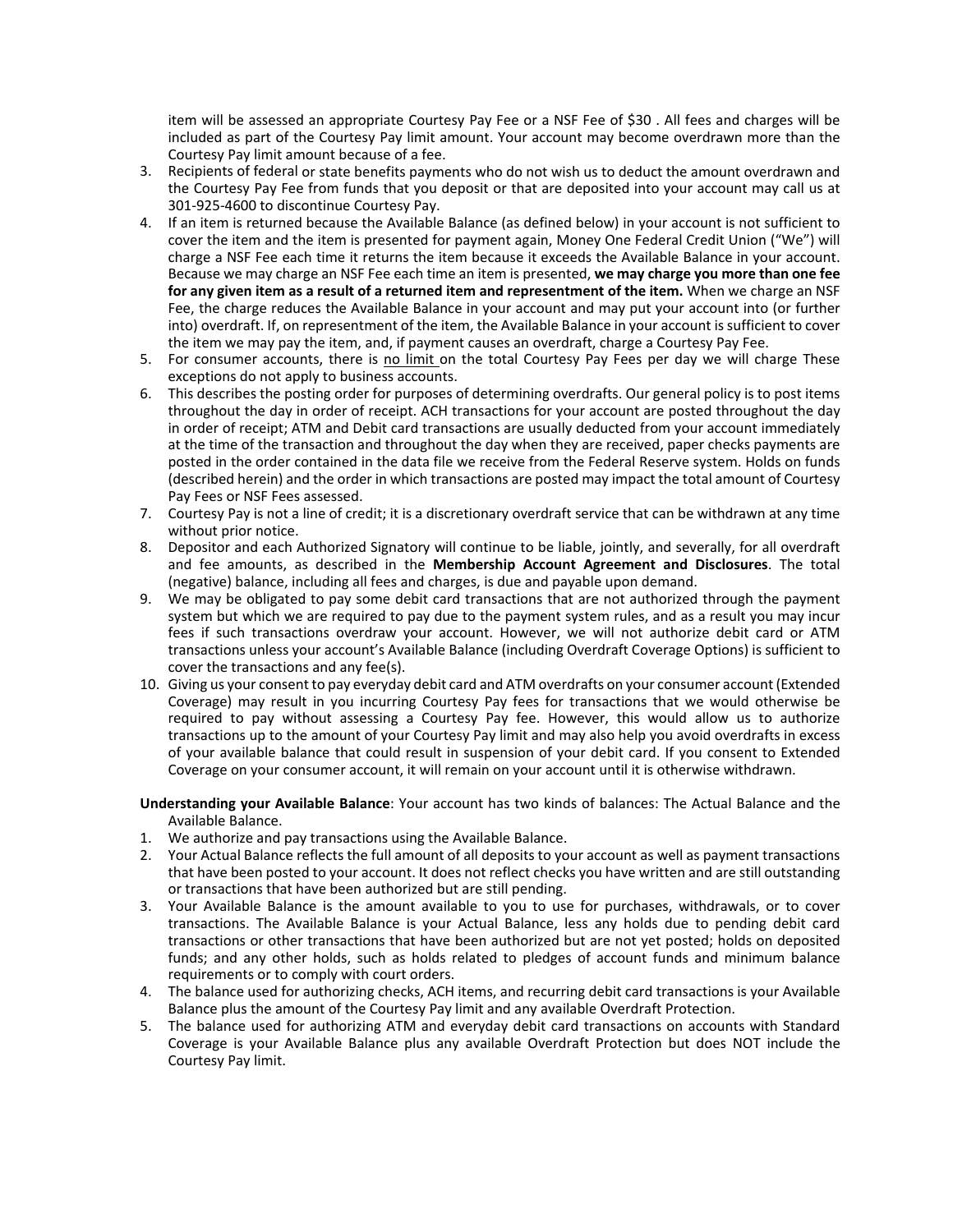item will be assessed an appropriate Courtesy Pay Fee or a NSF Fee of \$30 . All fees and charges will be included as part of the Courtesy Pay limit amount. Your account may become overdrawn more than the Courtesy Pay limit amount because of a fee.

- 3. Recipients of federal or state benefits payments who do not wish us to deduct the amount overdrawn and the Courtesy Pay Fee from funds that you deposit or that are deposited into your account may call us at 301‐925‐4600 to discontinue Courtesy Pay.
- 4. If an item is returned because the Available Balance (as defined below) in your account is not sufficient to cover the item and the item is presented for payment again, Money One Federal Credit Union ("We") will charge a NSF Fee each time it returns the item because it exceeds the Available Balance in your account. Because we may charge an NSF Fee each time an item is presented, **we may charge you more than one fee for any given item as a result of a returned item and representment of the item.** When we charge an NSF Fee, the charge reduces the Available Balance in your account and may put your account into (or further into) overdraft. If, on representment of the item, the Available Balance in your account is sufficient to cover the item we may pay the item, and, if payment causes an overdraft, charge a Courtesy Pay Fee.
- 5. For consumer accounts, there is no limit on the total Courtesy Pay Fees per day we will charge These exceptions do not apply to business accounts.
- 6. This describes the posting order for purposes of determining overdrafts. Our general policy is to post items throughout the day in order of receipt. ACH transactions for your account are posted throughout the day in order of receipt; ATM and Debit card transactions are usually deducted from your account immediately at the time of the transaction and throughout the day when they are received, paper checks payments are posted in the order contained in the data file we receive from the Federal Reserve system. Holds on funds (described herein) and the order in which transactions are posted may impact the total amount of Courtesy Pay Fees or NSF Fees assessed.
- 7. Courtesy Pay is not a line of credit; it is a discretionary overdraft service that can be withdrawn at any time without prior notice.
- 8. Depositor and each Authorized Signatory will continue to be liable, jointly, and severally, for all overdraft and fee amounts, as described in the **Membership Account Agreement and Disclosures**. The total (negative) balance, including all fees and charges, is due and payable upon demand.
- 9. We may be obligated to pay some debit card transactions that are not authorized through the payment system but which we are required to pay due to the payment system rules, and as a result you may incur fees if such transactions overdraw your account. However, we will not authorize debit card or ATM transactions unless your account's Available Balance (including Overdraft Coverage Options) is sufficient to cover the transactions and any fee(s).
- 10. Giving us your consent to pay everyday debit card and ATM overdrafts on your consumer account (Extended Coverage) may result in you incurring Courtesy Pay fees for transactions that we would otherwise be required to pay without assessing a Courtesy Pay fee. However, this would allow us to authorize transactions up to the amount of your Courtesy Pay limit and may also help you avoid overdrafts in excess of your available balance that could result in suspension of your debit card. If you consent to Extended Coverage on your consumer account, it will remain on your account until it is otherwise withdrawn.
- **Understanding your Available Balance**: Your account has two kinds of balances: The Actual Balance and the Available Balance.
- 1. We authorize and pay transactions using the Available Balance.
- 2. Your Actual Balance reflects the full amount of all deposits to your account as well as payment transactions that have been posted to your account. It does not reflect checks you have written and are still outstanding or transactions that have been authorized but are still pending.
- 3. Your Available Balance is the amount available to you to use for purchases, withdrawals, or to cover transactions. The Available Balance is your Actual Balance, less any holds due to pending debit card transactions or other transactions that have been authorized but are not yet posted; holds on deposited funds; and any other holds, such as holds related to pledges of account funds and minimum balance requirements or to comply with court orders.
- 4. The balance used for authorizing checks, ACH items, and recurring debit card transactions is your Available Balance plus the amount of the Courtesy Pay limit and any available Overdraft Protection.
- 5. The balance used for authorizing ATM and everyday debit card transactions on accounts with Standard Coverage is your Available Balance plus any available Overdraft Protection but does NOT include the Courtesy Pay limit.